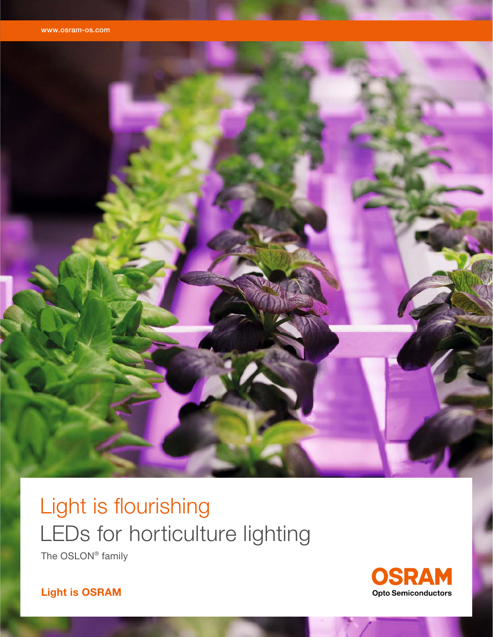

# Light is flourishing LEDs for horticulture lighting The OSLON® family

OSRAM **Opto Semiconductors** 

**Light is OSRAM**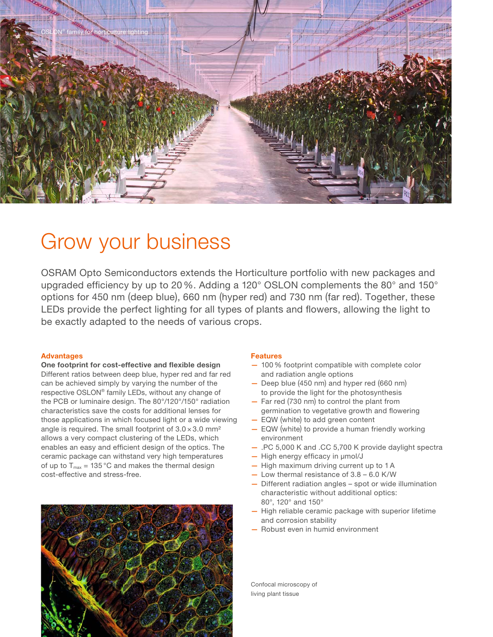

# Grow your business

OSRAM Opto Semiconductors extends the Horticulture portfolio with new packages and upgraded efficiency by up to 20%. Adding a 120 $^{\circ}$  OSLON complements the 80 $^{\circ}$  and 150 $^{\circ}$ options for 450 nm (deep blue), 660 nm (hyper red) and 730 nm (far red). Together, these LEDs provide the perfect lighting for all types of plants and flowers, allowing the light to be exactly adapted to the needs of various crops.

### **Advantages**

**One footprint for cost-effective and flexible design** Different ratios between deep blue, hyper red and far red can be achieved simply by varying the number of the respective OSLON® family LEDs, without any change of the PCB or luminaire design. The 80°/120°/150° radiation charac teristics save the costs for additional lenses for those applications in which focused light or a wide viewing angle is required. The small footprint of  $3.0 \times 3.0$  mm<sup>2</sup> allows a very compact clustering of the LEDs, which enables an easy and efficient design of the optics. The ceramic package can withstand very high temperatures of up to  $T_{max}$  = 135 °C and makes the thermal design cost-effective and stress-free.



### **Features**

- 100 % footprint compatible with complete color and radiation angle options
- Deep blue (450 nm) and hyper red (660 nm) to provide the light for the photosynthesis
- Far red (730 nm) to control the plant from germination to vegetative growth and flowering
- EQW (white) to add green content
- EQW (white) to provide a human friendly working environment
- .PC 5,000 K and .CC 5,700 K provide daylight spectra
- $-$  High energy efficacy in  $\mu$ mol/J
- High maximum driving current up to 1 A
- Low thermal resistance of 3.8 6.0 K/W
- Different radiation angles spot or wide illumination characteristic without additional optics: 80°, 120° and 150°
- High reliable ceramic package with superior lifetime and corrosion stability
- Robust even in humid environment

Confocal microscopy of living plant tissue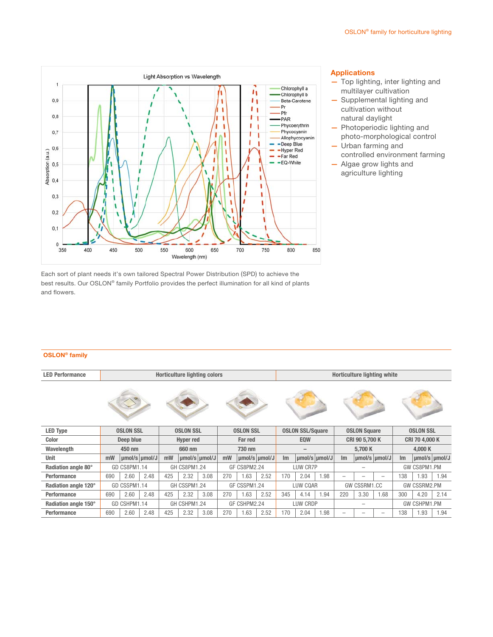

#### **Applications**

- Top lighting, inter lighting and multilayer cultivation
- Supplemental lighting and cultivation without natural daylight
- Photoperiodic lighting and photo-morphological control — Urban farming and
- controlled environment farming
- Algae grow lights and agriculture lighting

Each sort of plant needs it's own tailored Spectral Power Distribution (SPD) to achieve the best results. Our OSLON® family Portfolio provides the perfect illumination for all kind of plants and flowers.

#### **OSLON® family**

| <b>LED Performance</b> | <b>Horticulture lighting colors</b> |               |      |                     |      |               |                     | <b>Horticulture lighting white</b> |               |                         |               |      |                          |      |                          |                  |      |               |
|------------------------|-------------------------------------|---------------|------|---------------------|------|---------------|---------------------|------------------------------------|---------------|-------------------------|---------------|------|--------------------------|------|--------------------------|------------------|------|---------------|
|                        |                                     |               |      |                     |      |               |                     |                                    |               |                         |               |      |                          |      |                          |                  |      |               |
| <b>LED Type</b>        | <b>OSLON SSL</b>                    |               |      | <b>OSLON SSL</b>    |      |               | <b>OSLON SSL</b>    |                                    |               | <b>OSLON SSL/Square</b> |               |      | <b>OSLON Square</b>      |      |                          | <b>OSLON SSL</b> |      |               |
| Color                  | Deep blue                           |               |      | <b>Hyper red</b>    |      |               | <b>Far red</b>      |                                    |               | <b>EQW</b>              |               |      | CRI 90 5,700 K           |      |                          | CRI 70 4,000 K   |      |               |
| Wavelength             | 450 nm                              |               |      | 660 nm              |      |               | 730 nm              |                                    |               | -                       |               |      | 5.700 K                  |      |                          | 4.000 K          |      |               |
| Unit                   | mW                                  | umol/s umol/J |      | mW                  |      | umol/s umol/J | mW                  |                                    | umol/s umol/J | Im                      | umol/s umol/J |      | Im                       |      | umol/s umol/J            | Im               |      | umol/s umol/J |
| Radiation angle 80°    | GD CS8PM1.14                        |               |      | <b>GH CS8PM1.24</b> |      |               | <b>GF CS8PM2.24</b> |                                    |               | LUW CR7P                |               |      |                          |      | GW CS8PM1.PM             |                  |      |               |
| Performance            | 690                                 | 2.60          | 2.48 | 425                 | 2.32 | 3.08          | 270                 | 1.63                               | 2.52          | 170                     | 2.04          | 1.98 | $\overline{\phantom{0}}$ |      | $\overline{\phantom{0}}$ | 138              | 1.93 | 1.94          |
| Radiation angle 120°   | GD CSSPM1.14                        |               |      | GH CSSPM1.24        |      |               | GF CSSPM1.24        |                                    |               | LUW CQAR                |               |      | GW CSSRM1.CC             |      |                          | GW CSSRM2.PM     |      |               |
| Performance            | 690                                 | 2.60          | 2.48 | 425                 | 2.32 | 3.08          | 270                 | 1.63                               | 2.52          | 345                     | 4.14          | 1.94 | 220                      | 3.30 | 1.68                     | 300              | 4.20 | 2.14          |
| Radiation angle 150°   | GD CSHPM1.14                        |               |      | GH CSHPM1.24        |      |               | GF CSHPM2.24        |                                    |               | LUW CRDP                |               |      |                          |      |                          | GW CSHPM1.PM     |      |               |
| Performance            | 690                                 | 2.60          | 2.48 | 425                 | 2.32 | 3.08          | 270                 | 1.63                               | 2.52          | 170                     | 2.04          | 1.98 |                          |      | $\overline{\phantom{0}}$ | 138              | 1.93 | 1.94          |